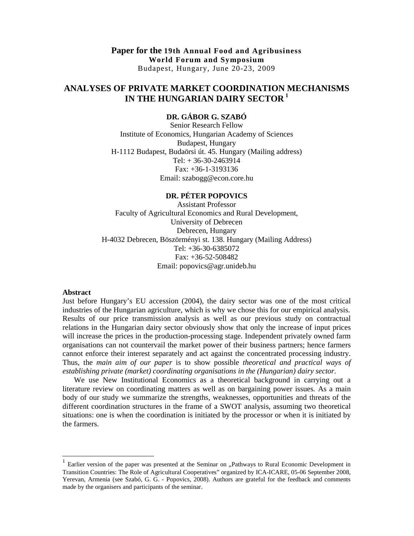**Paper for the 19th Annual Food and Agribusiness World Forum and Symposium**  Budapest, Hungary, June 20-23, 2009

# **ANALYSES OF PRIVATE MARKET COORDINATION MECHANISMS IN THE HUNGARIAN DAIRY SECTOR<sup>1</sup>**

## **DR. GÁBOR G. SZABÓ**

Senior Research Fellow Institute of Economics, Hungarian Academy of Sciences Budapest, Hungary H-1112 Budapest, Budaörsi út. 45. Hungary (Mailing address) Tel: + 36-30-2463914 Fax: +36-1-3193136 Email: szabogg@econ.core.hu

## **DR. PÉTER POPOVICS**

Assistant Professor Faculty of Agricultural Economics and Rural Development, University of Debrecen Debrecen, Hungary H-4032 Debrecen, Böszörményi st. 138. Hungary (Mailing Address) Tel: +36-30-6385072 Fax: +36-52-508482 Email: popovics@agr.unideb.hu

#### **Abstract**

-

Just before Hungary's EU accession (2004), the dairy sector was one of the most critical industries of the Hungarian agriculture, which is why we chose this for our empirical analysis. Results of our price transmission analysis as well as our previous study on contractual relations in the Hungarian dairy sector obviously show that only the increase of input prices will increase the prices in the production-processing stage. Independent privately owned farm organisations can not countervail the market power of their business partners; hence farmers cannot enforce their interest separately and act against the concentrated processing industry. Thus, the *main aim of our paper* is to show possible *theoretical and practical ways of establishing private (market) coordinating organisations in the (Hungarian) dairy sector*.

We use New Institutional Economics as a theoretical background in carrying out a literature review on coordinating matters as well as on bargaining power issues. As a main body of our study we summarize the strengths, weaknesses, opportunities and threats of the different coordination structures in the frame of a SWOT analysis, assuming two theoretical situations: one is when the coordination is initiated by the processor or when it is initiated by the farmers.

<sup>1</sup> Earlier version of the paper was presented at the Seminar on "Pathways to Rural Economic Development in Transition Countries: The Role of Agricultural Cooperatives" organized by ICA-ICARE, 05-06 September 2008, Yerevan, Armenia (see Szabó, G. G. - Popovics, 2008). Authors are grateful for the feedback and comments made by the organisers and participants of the seminar.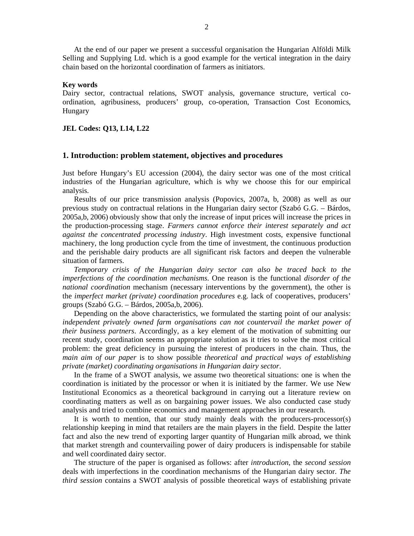At the end of our paper we present a successful organisation the Hungarian Alföldi Milk Selling and Supplying Ltd. which is a good example for the vertical integration in the dairy chain based on the horizontal coordination of farmers as initiators.

## **Key words**

Dairy sector, contractual relations, SWOT analysis, governance structure, vertical coordination, agribusiness, producers' group, co-operation, Transaction Cost Economics, Hungary

### **JEL Codes: Q13, L14, L22**

## **1. Introduction: problem statement, objectives and procedures**

Just before Hungary's EU accession (2004), the dairy sector was one of the most critical industries of the Hungarian agriculture, which is why we choose this for our empirical analysis.

Results of our price transmission analysis (Popovics, 2007a, b, 2008) as well as our previous study on contractual relations in the Hungarian dairy sector (Szabó G.G. – Bárdos, 2005a,b, 2006) obviously show that only the increase of input prices will increase the prices in the production-processing stage. *Farmers cannot enforce their interest separately and act against the concentrated processing industry*. High investment costs, expensive functional machinery, the long production cycle from the time of investment, the continuous production and the perishable dairy products are all significant risk factors and deepen the vulnerable situation of farmers.

*Temporary crisis of the Hungarian dairy sector can also be traced back to the imperfections of the coordination mechanisms*. One reason is the functional *disorder of the national coordination* mechanism (necessary interventions by the government), the other is the *imperfect market (private) coordination procedures* e.g. lack of cooperatives, producers' groups (Szabó G.G. – Bárdos, 2005a,b, 2006).

Depending on the above characteristics, we formulated the starting point of our analysis: *independent privately owned farm organisations can not countervail the market power of their business partners*. Accordingly, as a key element of the motivation of submitting our recent study, coordination seems an appropriate solution as it tries to solve the most critical problem: the great deficiency in pursuing the interest of producers in the chain. Thus, the *main aim of our paper* is to show possible *theoretical and practical ways of establishing private (market) coordinating organisations in Hungarian dairy sector*.

In the frame of a SWOT analysis, we assume two theoretical situations: one is when the coordination is initiated by the processor or when it is initiated by the farmer. We use New Institutional Economics as a theoretical background in carrying out a literature review on coordinating matters as well as on bargaining power issues. We also conducted case study analysis and tried to combine economics and management approaches in our research.

It is worth to mention, that our study mainly deals with the producers-processor(s) relationship keeping in mind that retailers are the main players in the field. Despite the latter fact and also the new trend of exporting larger quantity of Hungarian milk abroad, we think that market strength and countervailing power of dairy producers is indispensable for stabile and well coordinated dairy sector.

The structure of the paper is organised as follows: after *introduction*, the *second session* deals with imperfections in the coordination mechanisms of the Hungarian dairy sector. *The third session* contains a SWOT analysis of possible theoretical ways of establishing private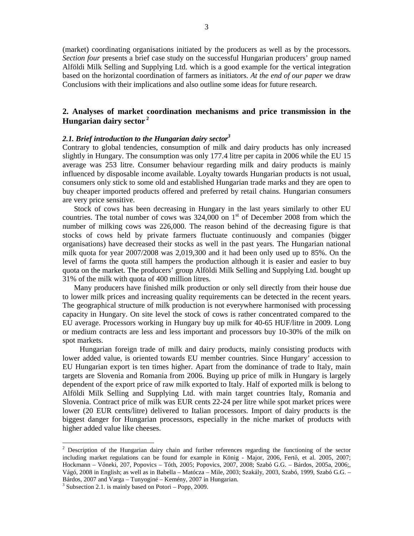(market) coordinating organisations initiated by the producers as well as by the processors. *Section four* presents a brief case study on the successful Hungarian producers' group named Alföldi Milk Selling and Supplying Ltd. which is a good example for the vertical integration based on the horizontal coordination of farmers as initiators. *At the end of our paper* we draw Conclusions with their implications and also outline some ideas for future research.

# **2. Analyses of market coordination mechanisms and price transmission in the Hungarian dairy sector<sup>2</sup>**

#### *2.1. Brief introduction to the Hungarian dairy sector<sup>3</sup>*

Contrary to global tendencies, consumption of milk and dairy products has only increased slightly in Hungary. The consumption was only 177.4 litre per capita in 2006 while the EU 15 average was 253 litre. Consumer behaviour regarding milk and dairy products is mainly influenced by disposable income available. Loyalty towards Hungarian products is not usual, consumers only stick to some old and established Hungarian trade marks and they are open to buy cheaper imported products offered and preferred by retail chains. Hungarian consumers are very price sensitive.

Stock of cows has been decreasing in Hungary in the last years similarly to other EU countries. The total number of cows was  $324,000$  on  $1<sup>st</sup>$  of December 2008 from which the number of milking cows was 226,000. The reason behind of the decreasing figure is that stocks of cows held by private farmers fluctuate continuously and companies (bigger organisations) have decreased their stocks as well in the past years. The Hungarian national milk quota for year 2007/2008 was 2,019,300 and it had been only used up to 85%. On the level of farms the quota still hampers the production although it is easier and easier to buy quota on the market. The producers' group Alföldi Milk Selling and Supplying Ltd. bought up 31% of the milk with quota of 400 million litres.

Many producers have finished milk production or only sell directly from their house due to lower milk prices and increasing quality requirements can be detected in the recent years. The geographical structure of milk production is not everywhere harmonised with processing capacity in Hungary. On site level the stock of cows is rather concentrated compared to the EU average. Processors working in Hungary buy up milk for 40-65 HUF/litre in 2009. Long or medium contracts are less and less important and processors buy 10-30% of the milk on spot markets.

Hungarian foreign trade of milk and dairy products, mainly consisting products with lower added value, is oriented towards EU member countries. Since Hungary' accession to EU Hungarian export is ten times higher. Apart from the dominance of trade to Italy, main targets are Slovenia and Romania from 2006. Buying up price of milk in Hungary is largely dependent of the export price of raw milk exported to Italy. Half of exported milk is belong to Alföldi Milk Selling and Supplying Ltd. with main target countries Italy, Romania and Slovenia. Contract price of milk was EUR cents 22-24 per litre while spot market prices were lower (20 EUR cents/litre) delivered to Italian processors. Import of dairy products is the biggest danger for Hungarian processors, especially in the niche market of products with higher added value like cheeses.

-

<sup>&</sup>lt;sup>2</sup> Description of the Hungarian dairy chain and further references regarding the functioning of the sector including market regulations can be found for example in König - Major, 2006, Fertő, et al. 2005, 2007; Hockmann - Vőneki, 207, Popovics - Tóth, 2005; Popovics, 2007, 2008; Szabó G.G. - Bárdos, 2005a, 2006;, Vágó, 2008 in English; as well as in Babella – Matócza – Mile, 2003; Szakály, 2003, Szabó, 1999, Szabó G.G. – Bárdos, 2007 and Varga – Tunyoginé – Kemény, 2007 in Hungarian.

<sup>&</sup>lt;sup>3</sup> Subsection 2.1. is mainly based on Potori – Popp, 2009.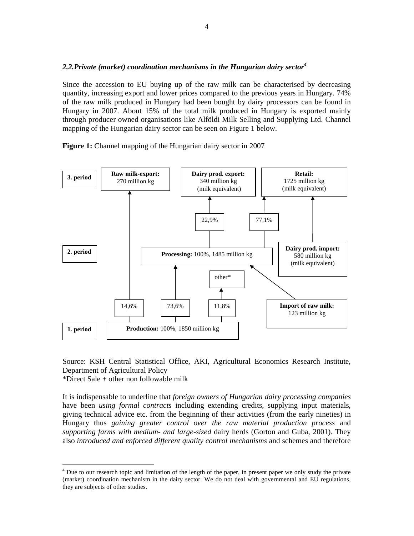## *2.2.Private (market) coordination mechanisms in the Hungarian dairy sector<sup>4</sup>*

Since the accession to EU buying up of the raw milk can be characterised by decreasing quantity, increasing export and lower prices compared to the previous years in Hungary. 74% of the raw milk produced in Hungary had been bought by dairy processors can be found in Hungary in 2007. About 15% of the total milk produced in Hungary is exported mainly through producer owned organisations like Alföldi Milk Selling and Supplying Ltd. Channel mapping of the Hungarian dairy sector can be seen on Figure 1 below.

**Figure 1:** Channel mapping of the Hungarian dairy sector in 2007



Source: KSH Central Statistical Office, AKI, Agricultural Economics Research Institute, Department of Agricultural Policy

\*Direct Sale + other non followable milk

-

It is indispensable to underline that *foreign owners of Hungarian dairy processing companies* have been *using formal contracts* including extending credits, supplying input materials, giving technical advice etc. from the beginning of their activities (from the early nineties) in Hungary thus *gaining greater control over the raw material production process* and *supporting farms with medium- and large-sized* dairy herds (Gorton and Guba, 2001). They also *introduced and enforced different quality control mechanisms* and schemes and therefore

<sup>&</sup>lt;sup>4</sup> Due to our research topic and limitation of the length of the paper, in present paper we only study the private (market) coordination mechanism in the dairy sector. We do not deal with governmental and EU regulations, they are subjects of other studies.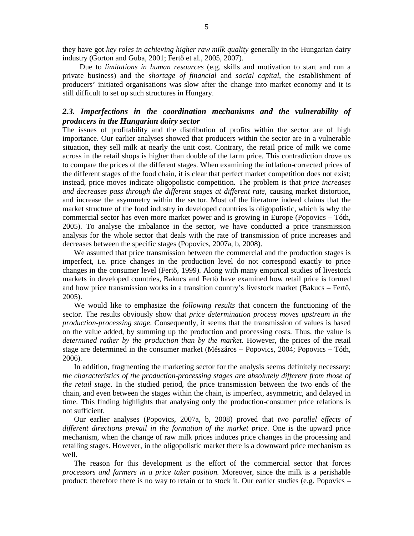they have got *key roles in achieving higher raw milk quality* generally in the Hungarian dairy industry (Gorton and Guba, 2001; Fertő et al., 2005, 2007).

Due to *limitations in human resources* (e.g. skills and motivation to start and run a private business) and the *shortage of financial* and *social capital*, the establishment of producers' initiated organisations was slow after the change into market economy and it is still difficult to set up such structures in Hungary.

# *2.3. Imperfections in the coordination mechanisms and the vulnerability of producers in the Hungarian dairy sector*

The issues of profitability and the distribution of profits within the sector are of high importance. Our earlier analyses showed that producers within the sector are in a vulnerable situation, they sell milk at nearly the unit cost. Contrary, the retail price of milk we come across in the retail shops is higher than double of the farm price. This contradiction drove us to compare the prices of the different stages. When examining the inflation-corrected prices of the different stages of the food chain, it is clear that perfect market competition does not exist; instead, price moves indicate oligopolistic competition. The problem is that *price increases and decreases pass through the different stages at different rate,* causing market distortion, and increase the asymmetry within the sector. Most of the literature indeed claims that the market structure of the food industry in developed countries is oligopolistic, which is why the commercial sector has even more market power and is growing in Europe (Popovics – Tóth, 2005). To analyse the imbalance in the sector, we have conducted a price transmission analysis for the whole sector that deals with the rate of transmission of price increases and decreases between the specific stages (Popovics, 2007a, b, 2008).

We assumed that price transmission between the commercial and the production stages is imperfect, i.e. price changes in the production level do not correspond exactly to price changes in the consumer level (Fertő, 1999). Along with many empirical studies of livestock markets in developed countries, Bakucs and Fertő have examined how retail price is formed and how price transmission works in a transition country's livestock market (Bakucs – Fertő, 2005).

We would like to emphasize the *following results* that concern the functioning of the sector. The results obviously show that *price determination process moves upstream in the production-processing stage*. Consequently, it seems that the transmission of values is based on the value added, by summing up the production and processing costs. Thus, the value is *determined rather by the production than by the market*. However, the prices of the retail stage are determined in the consumer market (Mészáros – Popovics, 2004; Popovics – Tóth, 2006).

In addition, fragmenting the marketing sector for the analysis seems definitely necessary: *the characteristics of the production-processing stages are absolutely different from those of the retail stage*. In the studied period, the price transmission between the two ends of the chain, and even between the stages within the chain, is imperfect, asymmetric, and delayed in time. This finding highlights that analysing only the production-consumer price relations is not sufficient.

Our earlier analyses (Popovics, 2007a, b, 2008) proved that *two parallel effects of different directions prevail in the formation of the market price*. One is the upward price mechanism, when the change of raw milk prices induces price changes in the processing and retailing stages. However, in the oligopolistic market there is a downward price mechanism as well.

The reason for this development is the effort of the commercial sector that forces *processors and farmers in a price taker position.* Moreover, since the milk is a perishable product; therefore there is no way to retain or to stock it. Our earlier studies (e.g. Popovics –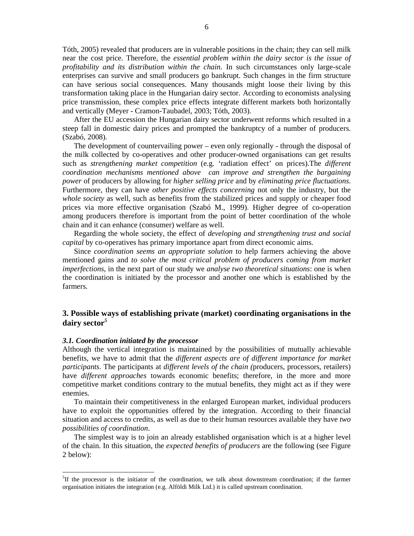Tóth, 2005) revealed that producers are in vulnerable positions in the chain; they can sell milk near the cost price. Therefore, the *essential problem within the dairy sector is the issue of profitability and its distribution within the chain*. In such circumstances only large-scale enterprises can survive and small producers go bankrupt. Such changes in the firm structure can have serious social consequences. Many thousands might loose their living by this transformation taking place in the Hungarian dairy sector. According to economists analysing price transmission, these complex price effects integrate different markets both horizontally and vertically (Meyer - Cramon-Taubadel, 2003; Tóth, 2003).

After the EU accession the Hungarian dairy sector underwent reforms which resulted in a steep fall in domestic dairy prices and prompted the bankruptcy of a number of producers. (Szabó, 2008).

The development of countervailing power – even only regionally - through the disposal of the milk collected by co-operatives and other producer-owned organisations can get results such as *strengthening market competition* (e.g. 'radiation effect' on prices).The *different coordination mechanisms mentioned above can improve and strengthen the bargaining power* of producers by allowing for *higher selling price* and by *eliminating price fluctuations*. Furthermore, they can have *other positive effects concerning* not only the industry, but the *whole society* as well, such as benefits from the stabilized prices and supply or cheaper food prices via more effective organisation (Szabó M., 1999). Higher degree of co-operation among producers therefore is important from the point of better coordination of the whole chain and it can enhance (consumer) welfare as well.

Regarding the whole society, the effect of *developing and strengthening trust and social capital* by co-operatives has primary importance apart from direct economic aims.

Since *coordination seems an appropriate solution* to help farmers achieving the above mentioned gains and *to solve the most critical problem of producers coming from market imperfections*, in the next part of our study we *analyse two theoretical situations*: one is when the coordination is initiated by the processor and another one which is established by the farmers.

# **3. Possible ways of establishing private (market) coordinating organisations in the dairy sector***<sup>5</sup>*

#### *3.1. Coordination initiated by the processor*

-

Although the vertical integration is maintained by the possibilities of mutually achievable benefits, we have to admit that the *different aspects are of different importance for market participants*. The participants at *different levels of the chain (*producers, processors, retailers) have *different approaches* towards economic benefits; therefore, in the more and more competitive market conditions contrary to the mutual benefits, they might act as if they were enemies.

To maintain their competitiveness in the enlarged European market, individual producers have to exploit the opportunities offered by the integration. According to their financial situation and access to credits, as well as due to their human resources available they have *two possibilities of coordination*.

The simplest way is to join an already established organisation which is at a higher level of the chain. In this situation, the *expected benefits of producers* are the following (see Figure 2 below):

<sup>&</sup>lt;sup>5</sup>If the processor is the initiator of the coordination, we talk about downstream coordination; if the farmer organisation initiates the integration (e.g. Alföldi Milk Ltd.) it is called upstream coordination.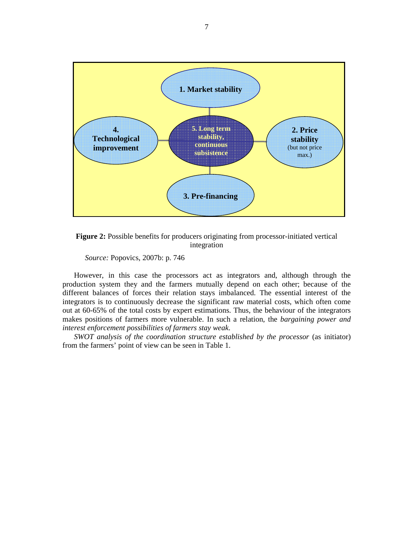



*Source:* Popovics, 2007b: p. 746

However, in this case the processors act as integrators and, although through the production system they and the farmers mutually depend on each other; because of the different balances of forces their relation stays imbalanced. The essential interest of the integrators is to continuously decrease the significant raw material costs, which often come out at 60-65% of the total costs by expert estimations. Thus, the behaviour of the integrators makes positions of farmers more vulnerable. In such a relation, the *bargaining power and interest enforcement possibilities of farmers stay weak*.

*SWOT analysis of the coordination structure established by the processor* (as initiator) from the farmers' point of view can be seen in Table 1.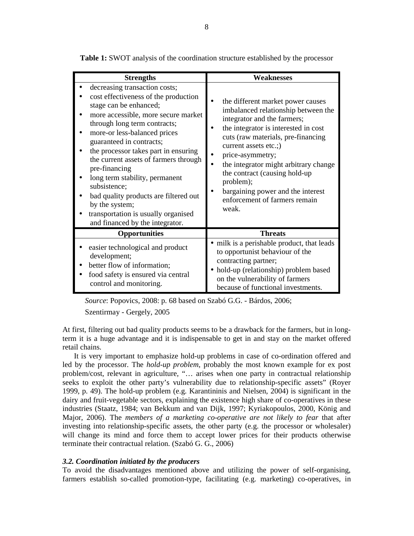| <b>Strengths</b>                                                                                                                                                                                                                                                                                                                                                                                                                                                                                                            | Weaknesses                                                                                                                                                                                                                                                                                                                                                                                               |
|-----------------------------------------------------------------------------------------------------------------------------------------------------------------------------------------------------------------------------------------------------------------------------------------------------------------------------------------------------------------------------------------------------------------------------------------------------------------------------------------------------------------------------|----------------------------------------------------------------------------------------------------------------------------------------------------------------------------------------------------------------------------------------------------------------------------------------------------------------------------------------------------------------------------------------------------------|
| decreasing transaction costs;<br>cost effectiveness of the production<br>stage can be enhanced;<br>more accessible, more secure market<br>through long term contracts;<br>more-or less-balanced prices<br>guaranteed in contracts;<br>the processor takes part in ensuring<br>the current assets of farmers through<br>pre-financing<br>long term stability, permanent<br>subsistence;<br>bad quality products are filtered out<br>by the system;<br>transportation is usually organised<br>and financed by the integrator. | the different market power causes<br>imbalanced relationship between the<br>integrator and the farmers;<br>the integrator is interested in cost<br>cuts (raw materials, pre-financing<br>current assets etc.;)<br>price-asymmetry;<br>the integrator might arbitrary change<br>the contract (causing hold-up<br>problem);<br>bargaining power and the interest<br>enforcement of farmers remain<br>weak. |
| <b>Opportunities</b>                                                                                                                                                                                                                                                                                                                                                                                                                                                                                                        | <b>Threats</b>                                                                                                                                                                                                                                                                                                                                                                                           |
| easier technological and product<br>development;<br>better flow of information;<br>food safety is ensured via central<br>control and monitoring.                                                                                                                                                                                                                                                                                                                                                                            | • milk is a perishable product, that leads<br>to opportunist behaviour of the<br>contracting partner;<br>hold-up (relationship) problem based<br>on the vulnerability of farmers<br>because of functional investments.                                                                                                                                                                                   |

**Table 1:** SWOT analysis of the coordination structure established by the processor

*Source*: Popovics, 2008: p. 68 based on Szabó G.G. - Bárdos, 2006; Szentirmay - Gergely, 2005

At first, filtering out bad quality products seems to be a drawback for the farmers, but in longterm it is a huge advantage and it is indispensable to get in and stay on the market offered retail chains.

It is very important to emphasize hold-up problems in case of co-ordination offered and led by the processor. The *hold-up problem*, probably the most known example for ex post problem/cost, relevant in agriculture, "… arises when one party in contractual relationship seeks to exploit the other party's vulnerability due to relationship-specific assets" (Royer 1999, p. 49). The hold-up problem (e.g. Karantininis and Nielsen, 2004) is significant in the dairy and fruit-vegetable sectors, explaining the existence high share of co-operatives in these industries (Staatz, 1984; van Bekkum and van Dijk, 1997; Kyriakopoulos, 2000, König and Major, 2006). The *members of a marketing co-operative are not likely to fear* that after investing into relationship-specific assets, the other party (e.g. the processor or wholesaler) will change its mind and force them to accept lower prices for their products otherwise terminate their contractual relation. (Szabó G. G., 2006)

## *3.2. Coordination initiated by the producers*

To avoid the disadvantages mentioned above and utilizing the power of self-organising, farmers establish so-called promotion-type, facilitating (e.g. marketing) co-operatives, in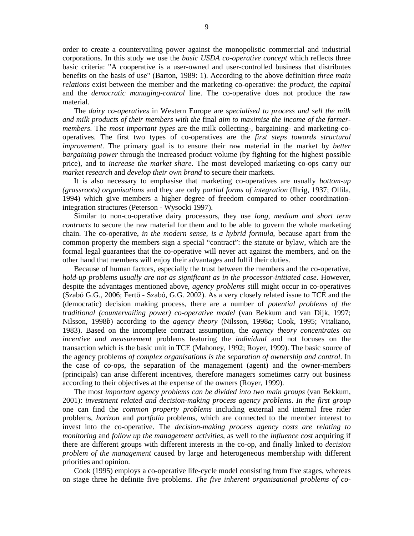order to create a countervailing power against the monopolistic commercial and industrial corporations. In this study we use the *basic USDA co-operative concept* which reflects three basic criteria: "A cooperative is a user-owned and user-controlled business that distributes benefits on the basis of use" (Barton, 1989: 1). According to the above definition *three main relations* exist between the member and the marketing co-operative: the *product*, the *capital* and the *democratic managing-control* line. The co-operative does not produce the raw material.

The *dairy co-operatives* in Western Europe are s*pecialised to process and sell the milk and milk products of their members with the* final *aim to maximise the income of the farmermembers*. The *most important types* are the milk collecting-, bargaining- and marketing-cooperatives. The first two types of co-operatives are the *first steps towards structural improvement*. The primary goal is to ensure their raw material in the market by *better bargaining power* through the increased product volume (by fighting for the highest possible price), and to *increase the market share*. The most developed marketing co-ops carry our *market research* and *develop their own brand* to secure their markets.

It is also necessary to emphasise that marketing co-operatives are usually *bottom-up (grassroots) organisations* and they are only *partial forms of integration* (Ihrig, 1937; Ollila, 1994) which give members a higher degree of freedom compared to other coordinationintegration structures (Peterson - Wysocki 1997).

Similar to non-co-operative dairy processors, they use *long, medium and short term contracts* to secure the raw material for them and to be able to govern the whole marketing chain. The co-operative, *in the modern sense, is a hybrid formula*, because apart from the common property the members sign a special "contract": the statute or bylaw, which are the formal legal guarantees that the co-operative will never act against the members, and on the other hand that members will enjoy their advantages and fulfil their duties.

Because of human factors, especially the trust between the members and the co-operative, *hold-up problems usually are not as significant as in the processor-initiated case*. However, despite the advantages mentioned above, *agency problems* still might occur in co-operatives (Szabó G.G., 2006; Fertő - Szabó, G.G. 2002). As a very closely related issue to TCE and the (democratic) decision making process, there are a number of *potential problems of the traditional (countervailing power) co-operative model* (van Bekkum and van Dijk, 1997; Nilsson, 1998*b*) according to the *agency theory* (Nilsson, 1998*a*; Cook, 1995; Vitaliano, 1983). Based on the incomplete contract assumption, the *agency theory concentrates on incentive and measurement* problems featuring the *individual* and not focuses on the transaction which is the basic unit in TCE (Mahoney, 1992; Royer, 1999). The basic source of the agency problems *of complex organisations is the separation of ownership and control*. In the case of co-ops, the separation of the management (agent) and the owner-members (principals) can arise different incentives, therefore managers sometimes carry out business according to their objectives at the expense of the owners (Royer, 1999).

The most *important agency problems can be divided into two main groups* (van Bekkum, 2001): *investment related and decision-making process agency problems*. *In the first group*  one can find the *common property problems* including external and internal free rider problems, *horizon* and *portfolio* problems, which are connected to the member interest to invest into the co-operative. The *decision-making process agency costs are relating to monitoring* and *follow up the management activities*, as well to the *influence cost* acquiring if there are different groups with different interests in the co-op, and finally linked to *decision problem of the management* caused by large and heterogeneous membership with different priorities and opinion.

Cook (1995) employs a co-operative life-cycle model consisting from five stages, whereas on stage three he definite five problems. *The five inherent organisational problems of co-*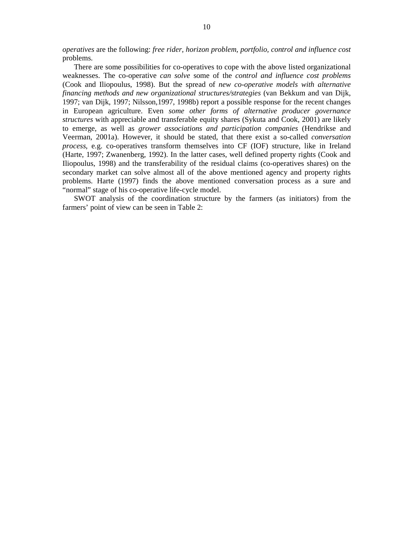*operatives* are the following: *free rider, horizon problem, portfolio, control and influence cost*  problems.

There are some possibilities for co-operatives to cope with the above listed organizational weaknesses. The co-operative *can solve* some of the *control and influence cost problems* (Cook and Iliopoulus, 1998). But the spread of *new co-operative models with alternative financing methods and new organizational structures/strategies* (van Bekkum and van Dijk, 1997; van Dijk, 1997; Nilsson,1997, 1998b) report a possible response for the recent changes in European agriculture. Even *some other forms of alternative producer governance structures* with appreciable and transferable equity shares (Sykuta and Cook, 2001) are likely to emerge, as well as *grower associations and participation companies* (Hendrikse and Veerman, 2001a). However, it should be stated, that there exist a so-called *conversation process*, e.g. co-operatives transform themselves into CF (IOF) structure, like in Ireland (Harte, 1997; Zwanenberg, 1992). In the latter cases, well defined property rights (Cook and Iliopoulus, 1998) and the transferability of the residual claims (co-operatives shares) on the secondary market can solve almost all of the above mentioned agency and property rights problems. Harte (1997) finds the above mentioned conversation process as a sure and "normal" stage of his co-operative life-cycle model.

SWOT analysis of the coordination structure by the farmers (as initiators) from the farmers' point of view can be seen in Table 2: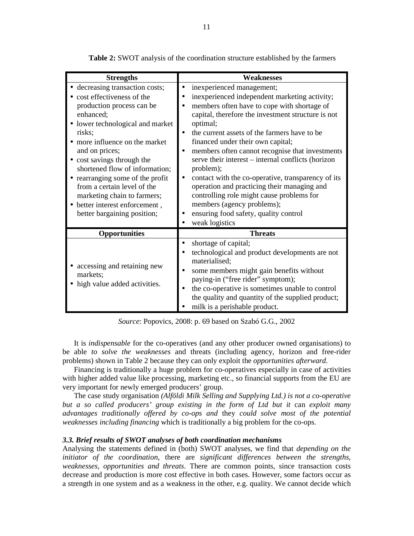| <b>Strengths</b>                                                                                                                                                                                                                                                                                                                                                                                                                              | <b>Weaknesses</b>                                                                                                                                                                                                                                                                                                                                                                                                                                                                                                                                                                                                                                 |
|-----------------------------------------------------------------------------------------------------------------------------------------------------------------------------------------------------------------------------------------------------------------------------------------------------------------------------------------------------------------------------------------------------------------------------------------------|---------------------------------------------------------------------------------------------------------------------------------------------------------------------------------------------------------------------------------------------------------------------------------------------------------------------------------------------------------------------------------------------------------------------------------------------------------------------------------------------------------------------------------------------------------------------------------------------------------------------------------------------------|
| • decreasing transaction costs;<br>• cost effectiveness of the<br>production process can be<br>enhanced;<br>• lower technological and market<br>risks;<br>• more influence on the market<br>and on prices;<br>• cost savings through the<br>shortened flow of information;<br>• rearranging some of the profit<br>from a certain level of the<br>marketing chain to farmers;<br>• better interest enforcement,<br>better bargaining position; | inexperienced management;<br>inexperienced independent marketing activity;<br>members often have to cope with shortage of<br>capital, therefore the investment structure is not<br>optimal;<br>the current assets of the farmers have to be<br>financed under their own capital;<br>members often cannot recognise that investments<br>serve their interest – internal conflicts (horizon<br>problem);<br>contact with the co-operative, transparency of its<br>operation and practicing their managing and<br>controlling role might cause problems for<br>members (agency problems);<br>ensuring food safety, quality control<br>weak logistics |
| <b>Opportunities</b>                                                                                                                                                                                                                                                                                                                                                                                                                          | <b>Threats</b>                                                                                                                                                                                                                                                                                                                                                                                                                                                                                                                                                                                                                                    |
| accessing and retaining new<br>$\bullet$<br>markets:<br>high value added activities.<br>$\bullet$                                                                                                                                                                                                                                                                                                                                             | shortage of capital;<br>technological and product developments are not<br>materialised;<br>some members might gain benefits without<br>paying-in ("free rider" symptom);<br>the co-operative is sometimes unable to control<br>the quality and quantity of the supplied product;<br>milk is a perishable product.                                                                                                                                                                                                                                                                                                                                 |

**Table 2:** SWOT analysis of the coordination structure established by the farmers

*Source*: Popovics, 2008: p. 69 based on Szabó G.G., 2002

It is *indispensable* for the co-operatives (and any other producer owned organisations) to be able *to solve the weaknesses* and threats (including agency, horizon and free-rider problems) shown in Table 2 because they can only exploit the *opportunities afterward*.

Financing is traditionally a huge problem for co-operatives especially in case of activities with higher added value like processing, marketing etc., so financial supports from the EU are very important for newly emerged producers' group.

The case study organisation *(Alföldi Milk Selling and Supplying Ltd.) is not a co-operative but a so called producers' group existing in the form of Ltd but it* can *exploit many advantages traditionally offered by co-ops and* they *could solve most of the potential weaknesses including financing* which is traditionally a big problem for the co-ops.

### *3.3. Brief results of SWOT analyses of both coordination mechanisms*

Analysing the statements defined in (both) SWOT analyses, we find that *depending on the initiator of the coordination*, there are *significant differences between the strengths, weaknesses, opportunities and threats*. There are common points, since transaction costs decrease and production is more cost effective in both cases. However, some factors occur as a strength in one system and as a weakness in the other, e.g. quality. We cannot decide which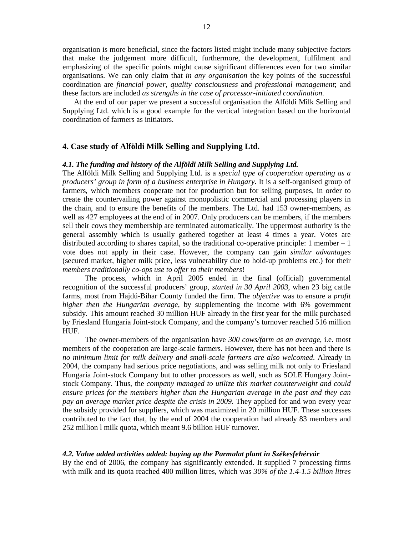organisation is more beneficial, since the factors listed might include many subjective factors that make the judgement more difficult, furthermore, the development, fulfilment and emphasizing of the specific points might cause significant differences even for two similar organisations. We can only claim that *in any organisation* the key points of the successful coordination are *financial power, quality consciousness* and *professional management*; and these factors are included *as strengths in the case of processor-initiated coordination*.

At the end of our paper we present a successful organisation the Alföldi Milk Selling and Supplying Ltd. which is a good example for the vertical integration based on the horizontal coordination of farmers as initiators.

## **4. Case study of Alföldi Milk Selling and Supplying Ltd.**

#### *4.1. The funding and history of the Alföldi Milk Selling and Supplying Ltd.*

The Alföldi Milk Selling and Supplying Ltd. is a *special type of cooperation operating as a producers' group in form of a business enterprise in Hungary*. It is a self-organised group of farmers, which members cooperate not for production but for selling purposes, in order to create the countervailing power against monopolistic commercial and processing players in the chain, and to ensure the benefits of the members. The Ltd. had 153 owner-members, as well as 427 employees at the end of in 2007. Only producers can be members, if the members sell their cows they membership are terminated automatically. The uppermost authority is the general assembly which is usually gathered together at least 4 times a year. Votes are distributed according to shares capital, so the traditional co-operative principle: 1 member – 1 vote does not apply in their case. However, the company can gain *similar advantages* (secured market, higher milk price, less vulnerability due to hold-up problems etc.) for their *members traditionally co-ops use to offer to their members*!

The process, which in April 2005 ended in the final (official) governmental recognition of the successful producers' group, *started in 30 April 2003*, when 23 big cattle farms, most from Hajdú-Bihar County funded the firm. The *objective* was to ensure a *profit higher then the Hungarian average*, by supplementing the income with 6% government subsidy. This amount reached 30 million HUF already in the first year for the milk purchased by Friesland Hungaria Joint-stock Company, and the company's turnover reached 516 million HUF.

The owner-members of the organisation have *300 cows/farm as an average*, i.e. most members of the cooperation are large-scale farmers. However, there has not been and there is *no minimum limit for milk delivery and small-scale farmers are also welcomed*. Already in 2004, the company had serious price negotiations, and was selling milk not only to Friesland Hungaria Joint-stock Company but to other processors as well, such as SOLE Hungary Jointstock Company. Thus, the *company managed to utilize this market counterweight and could ensure prices for the members higher than the Hungarian average in the past and they can pay an average market price despite the crisis in 2009*. They applied for and won every year the subsidy provided for suppliers, which was maximized in 20 million HUF. These successes contributed to the fact that, by the end of 2004 the cooperation had already 83 members and 252 million l milk quota, which meant 9.6 billion HUF turnover.

#### *4.2. Value added activities added: buying up the Parmalat plant in Székesfehérvár*

By the end of 2006, the company has significantly extended. It supplied 7 processing firms with milk and its quota reached 400 million litres, which was *30% of the 1.4-1.5 billion litres*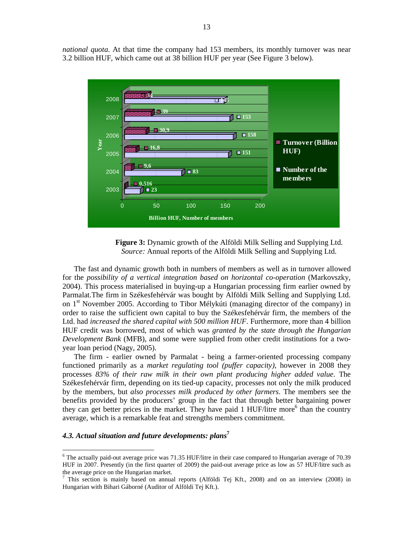*national quota*. At that time the company had 153 members, its monthly turnover was near 3.2 billion HUF, which came out at 38 billion HUF per year (See Figure 3 below).



**Figure 3:** Dynamic growth of the Alföldi Milk Selling and Supplying Ltd. *Source:* Annual reports of the Alföldi Milk Selling and Supplying Ltd.

The fast and dynamic growth both in numbers of members as well as in turnover allowed for the *possibility of a vertical integration based on horizontal co-operation* (Markovszky, 2004). This process materialised in buying-up a Hungarian processing firm earlier owned by Parmalat.The firm in Székesfehérvár was bought by Alföldi Milk Selling and Supplying Ltd. on 1<sup>st</sup> November 2005. According to Tibor Mélykúti (managing director of the company) in order to raise the sufficient own capital to buy the Székesfehérvár firm, the members of the Ltd. had *increased the shared capital with 500 million HUF*. Furthermore, more than 4 billion HUF credit was borrowed, most of which was *granted by the state through the Hungarian Development Bank* (MFB), and some were supplied from other credit institutions for a twoyear loan period (Nagy, 2005).

The firm - earlier owned by Parmalat - being a farmer-oriented processing company functioned primarily as a *market regulating tool (puffer capacity),* however in 2008 they processes *83% of their raw milk in their own plant producing higher added value*. The Székesfehérvár firm, depending on its tied-up capacity, processes not only the milk produced by the members, but *also processes milk produced by other farmers*. The members see the benefits provided by the producers' group in the fact that through better bargaining power they can get better prices in the market. They have paid 1 HUF/litre more<sup>6</sup> than the country average, which is a remarkable feat and strengths members commitment.

# *4.3. Actual situation and future developments: plans* **7**

-

<sup>&</sup>lt;sup>6</sup> The actually paid-out average price was 71.35 HUF/litre in their case compared to Hungarian average of 70.39 HUF in 2007. Presently (in the first quarter of 2009) the paid-out average price as low as 57 HUF/litre such as the average price on the Hungarian market.

<sup>&</sup>lt;sup>7</sup> This section is mainly based on annual reports (Alföldi Tej Kft., 2008) and on an interview (2008) in Hungarian with Bihari Gáborné (Auditor of Alföldi Tej Kft.).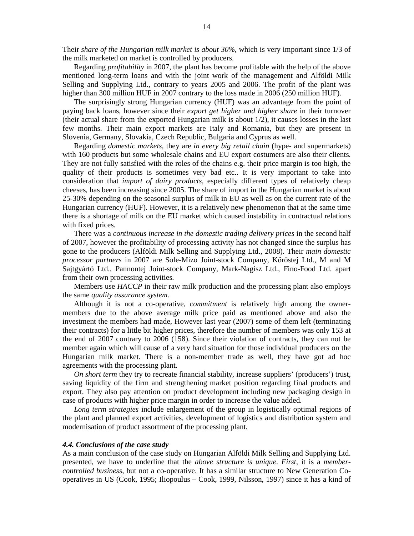Their *share of the Hungarian milk market is about 30%,* which is very important since 1/3 of the milk marketed on market is controlled by producers.

Regarding *profitability* in 2007, the plant has become profitable with the help of the above mentioned long-term loans and with the joint work of the management and Alföldi Milk Selling and Supplying Ltd., contrary to years 2005 and 2006. The profit of the plant was higher than 300 million HUF in 2007 contrary to the loss made in 2006 (250 million HUF).

The surprisingly strong Hungarian currency (HUF) was an advantage from the point of paying back loans, however since their *export get higher and higher share* in their turnover (their actual share from the exported Hungarian milk is about 1/2), it causes losses in the last few months. Their main export markets are Italy and Romania, but they are present in Slovenia, Germany, Slovakia, Czech Republic, Bulgaria and Cyprus as well.

Regarding *domestic markets*, they are *in every big retail chain* (hype- and supermarkets) with 160 products but some wholesale chains and EU export costumers are also their clients. They are not fully satisfied with the roles of the chains e.g. their price margin is too high, the quality of their products is sometimes very bad etc.. It is very important to take into consideration that *import of dairy products*, especially different types of relatively cheap cheeses, has been increasing since 2005. The share of import in the Hungarian market is about 25-30% depending on the seasonal surplus of milk in EU as well as on the current rate of the Hungarian currency (HUF). However, it is a relatively new phenomenon that at the same time there is a shortage of milk on the EU market which caused instability in contractual relations with fixed prices.

There was a *continuous increase in the domestic trading delivery prices* in the second half of 2007, however the profitability of processing activity has not changed since the surplus has gone to the producers (Alföldi Milk Selling and Supplying Ltd., 2008). Their *main domestic processor partners* in 2007 are Sole-Mizo Joint-stock Company, Kőröstej Ltd., M and M Sajtgyártó Ltd., Pannontej Joint-stock Company, Mark-Nagisz Ltd., Fino-Food Ltd. apart from their own processing activities.

Members use *HACCP* in their raw milk production and the processing plant also employs the same *quality assurance system*.

Although it is not a co-operative, *commitment* is relatively high among the ownermembers due to the above average milk price paid as mentioned above and also the investment the members had made, However last year (2007) some of them left (terminating their contracts) for a little bit higher prices, therefore the number of members was only 153 at the end of 2007 contrary to 2006 (158). Since their violation of contracts, they can not be member again which will cause of a very hard situation for those individual producers on the Hungarian milk market. There is a non-member trade as well, they have got ad hoc agreements with the processing plant.

*On short term* they try to recreate financial stability, increase suppliers' (producers') trust, saving liquidity of the firm and strengthening market position regarding final products and export. They also pay attention on product development including new packaging design in case of products with higher price margin in order to increase the value added.

*Long term strategies* include enlargement of the group in logistically optimal regions of the plant and planned export activities, development of logistics and distribution system and modernisation of product assortment of the processing plant.

#### *4.4. Conclusions of the case study*

As a main conclusion of the case study on Hungarian Alföldi Milk Selling and Supplying Ltd. presented, we have to underline that the *above structure is unique*. *First*, it is a *membercontrolled business*, but not a co-operative. It has a similar structure to New Generation Cooperatives in US (Cook, 1995; Iliopoulus – Cook, 1999, Nilsson, 1997) since it has a kind of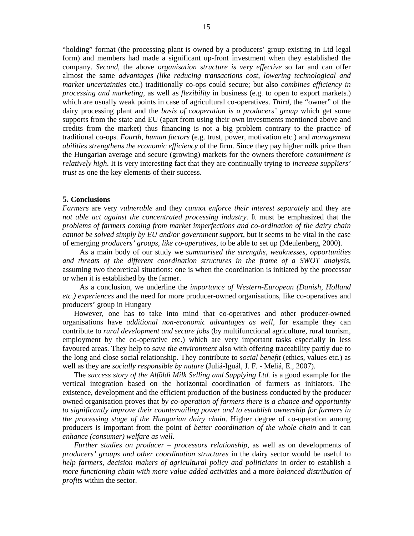"holding" format (the processing plant is owned by a producers' group existing in Ltd legal form) and members had made a significant up-front investment when they established the company. *Second*, the above *organisation structure is very effective* so far and can offer almost the same *advantages (like reducing transactions cost, lowering technological and market uncertainties* etc.) traditionally co-ops could secure; but also *combines efficiency in processing and marketing*, as well as *flexibility* in business (e.g. to open to export markets.) which are usually weak points in case of agricultural co-operatives. *Third*, the "owner" of the dairy processing plant and the *basis of cooperation is a producers' group* which get some supports from the state and EU (apart from using their own investments mentioned above and credits from the market) thus financing is not a big problem contrary to the practice of traditional co-ops. *Fourth*, *human factors* (e.g. trust, power, motivation etc.) and *management abilities strengthens the economic efficiency* of the firm. Since they pay higher milk price than the Hungarian average and secure (growing) markets for the owners therefore *commitment is relatively high*. It is very interesting fact that they are continually trying to *increase suppliers' trust* as one the key elements of their success.

#### **5. Conclusions**

*Farmers* are very *vulnerable* and they *cannot enforce their interest separately* and they are *not able act against the concentrated processing industry*. It must be emphasized that the *problems of farmers coming from market imperfections and co-ordination of the dairy chain cannot be solved simply by EU and/or government support*, but it seems to be vital in the case of emerging *producers' groups, like co-operatives*, to be able to set up (Meulenberg, 2000).

As a main body of our study we *summarised the strengths, weaknesses, opportunities and threats of the different coordination structures in the frame of a SWOT analysis*, assuming two theoretical situations: one is when the coordination is initiated by the processor or when it is established by the farmer.

As a conclusion, we underline the *importance of Western-European (Danish, Holland etc.) experiences* and the need for more producer-owned organisations, like co-operatives and producers' group in Hungary

However, one has to take into mind that co-operatives and other producer-owned organisations have *additional non-economic advantages as well*, for example they can contribute to *rural development and secure jobs* (by multifunctional agriculture, rural tourism, employment by the co-operative etc.) which are very important tasks especially in less favoured areas. They help to *save the environment* also with offering traceability partly due to the long and close social relationship**.** They contribute to *social benefit* (ethics, values etc.) as well as they are *socially responsible by nature* (Juliá-Iguál, J. F. - Meliá, E., 2007).

The *success story of the Alföldi Milk Selling and Supplying Ltd.* is a good example for the vertical integration based on the horizontal coordination of farmers as initiators. The existence, development and the efficient production of the business conducted by the producer owned organisation proves that *by co-operation of farmers there is a chance and opportunity to significantly improve their countervailing power and to establish ownership for farmers in the processing stage of the Hungarian dairy chain*. Higher degree of co-operation among producers is important from the point of *better coordination of the whole chain* and it can *enhance (consumer) welfare as well*.

*Further studies on producer – processors relationship*, as well as on developments of *producers' groups and other coordination structures* in the dairy sector would be useful to *help farmers, decision makers of agricultural policy and politicians* in order to establish a *more functioning chain with more value added activities* and a more *balanced distribution of profits* within the sector.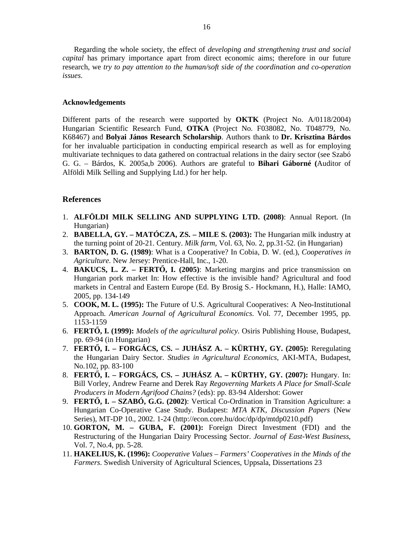Regarding the whole society, the effect of *developing and strengthening trust and social capital* has primary importance apart from direct economic aims; therefore in our future research, we *try to pay attention to the human/soft side of the coordination and co-operation issues*.

## **Acknowledgements**

Different parts of the research were supported by **OKTK** (Project No. A/0118/2004) Hungarian Scientific Research Fund, **OTKA** (Project No. F038082, No. T048779, No. K68467) and **Bolyai János Research Scholarship**. Authors thank to **Dr. Krisztina Bárdos** for her invaluable participation in conducting empirical research as well as for employing multivariate techniques to data gathered on contractual relations in the dairy sector (see Szabó G. G. – Bárdos, K. 2005a,b 2006). Authors are grateful to **Bihari Gáborné (**Auditor of Alföldi Milk Selling and Supplying Ltd.) for her help.

## **References**

- 1. **ALFÖLDI MILK SELLING AND SUPPLYING LTD. (2008)**: Annual Report. (In Hungarian)
- 2. **BABELLA, GY. MATÓCZA, ZS. MILE S. (2003):** The Hungarian milk industry at the turning point of 20-21. Century. *Milk farm*, Vol. 63, No. 2, pp.31-52. (in Hungarian)
- 3. **BARTON, D. G. (1989)**: What is a Cooperative? In Cobia, D. W. (ed.), *Cooperatives in Agriculture*. New Jersey: Prentice-Hall, Inc., 1-20.
- 4. **BAKUCS, L. Z. FERT**İ**, I. (2005)**: Marketing margins and price transmission on Hungarian pork market In: How effective is the invisible hand? Agricultural and food markets in Central and Eastern Europe (Ed. By Brosig S.- Hockmann, H.), Halle: IAMO, 2005, pp. 134-149
- 5. **COOK, M. L. (1995):** The Future of U.S. Agricultural Cooperatives: A Neo-Institutional Approach. *American Journal of Agricultural Economics*. Vol. 77, December 1995, pp. 1153-1159
- 6. **FERT**İ**, I. (1999):** *Models of the agricultural policy.* Osiris Publishing House, Budapest, pp. 69-94 (in Hungarian)
- 7. **FERT**İ**, I. FORGÁCS, CS. JUHÁSZ A. KÜRTHY, GY. (2005):** Reregulating the Hungarian Dairy Sector. *Studies in Agricultural Economics*, AKI-MTA, Budapest, No.102, pp. 83-100
- 8. **FERTŐ, I. FORGÁCS, CS. JUHÁSZ A. KÜRTHY, GY. (2007):** Hungary. In: Bill Vorley, Andrew Fearne and Derek Ray *Regoverning Markets A Place for Small-Scale Producers in Modern Agrifood Chains?* (eds): pp. 83-94 Aldershot: Gower
- 9. **FERT**İ**, I. SZABÓ, G.G. (2002)**: Vertical Co-Ordination in Transition Agriculture: a Hungarian Co-Operative Case Study. Budapest: *MTA KTK, Discussion Papers* (New Series), MT-DP 10., 2002. 1-24 (http://econ.core.hu/doc/dp/dp/mtdp0210.pdf)
- 10. **GORTON, M. GUBA, F. (2001):** Foreign Direct Investment (FDI) and the Restructuring of the Hungarian Dairy Processing Sector. *Journal of East-West Business*, Vol. 7, No.4, pp. 5-28.
- 11. **HAKELIUS, K. (1996):** *Cooperative Values Farmers' Cooperatives in the Minds of the Farmers*. Swedish University of Agricultural Sciences, Uppsala, Dissertations 23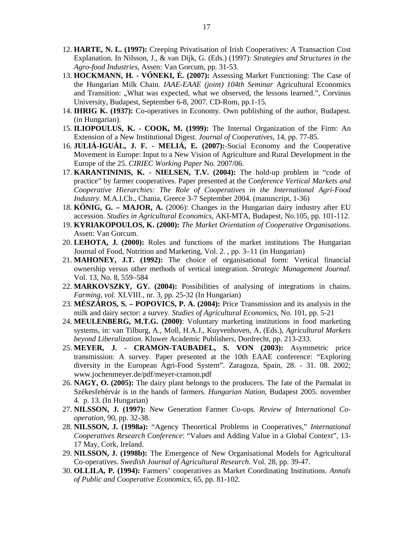- 12. **HARTE, N. L. (1997):** Creeping Privatisation of Irish Cooperatives: A Transaction Cost Explanation. In Nilsson, J., & van Dijk, G. (Eds.) (1997): *Strategies and Structures in the Agro-food Industries*, Assen: Van Gorcum, pp. 31-53.
- 13. **HOCKMANN, H. V**İ**NEKI, É. (2007):** Assessing Market Functioning: The Case of the Hungarian Milk Chain. *IAAE-EAAE (joint) 104th Seminar* Agricultural Economics and Transition: "What was expected, what we observed, the lessons learned.", Corvinus University, Budapest, September 6-8, 2007. CD-Rom, pp.1-15.
- 14. **IHRIG K. (1937):** Co-operatives in Economy. Own publishing of the author, Budapest. (in Hungarian).
- 15. **ILIOPOULUS, K. COOK, M. (1999):** The Internal Organization of the Firm: An Extension of a New Institutional Digest. *Journal of Cooperatives,* 14, pp. 77-85.
- 16. **JULIÁ-IGUÁL, J. F. MELIÁ, E. (2007):**-Social Economy and the Cooperative Movement in Europe: Input to a New Vision of Agriculture and Rural Development in the Europe of the 25. *CIRIEC Working Paper* No. 2007/06.
- 17. **KARANTININIS, K. NIELSEN, T.V. (2004):** The hold-up problem in "code of practice" by farmer cooperatives. Paper presented at the *Conference Vertical Markets and Cooperative Hierarchies: The Role of Cooperatives in the International Agri-Food Industry*. M.A.I.Ch., Chania, Greece 3-7 September 2004. (manuscript, 1-36)
- 18. **K**İ**NIG, G. MAJOR, A.** (2006): Changes in the Hungarian dairy industry after EU accession. *Studies in Agricultural Economics*, AKI-MTA, Budapest, No.105, pp. 101-112.
- 19. **KYRIAKOPOULOS, K. (2000):** *The Market Orientation of Cooperative Organisations*. Assen: Van Gorcum.
- 20. **LEHOTA, J. (2000):** Roles and functions of the market institutions The Hungarian Journal of Food, Nutrition and Marketing, Vol. 2. , pp. 3–11 (in Hungarian)
- 21. **MAHONEY, J.T. (1992):** The choice of organisational form: Vertical financial ownership versus other methods of vertical integration. *Strategic Management Journal*. Vol. 13, No. 8, 559–584
- 22. **MARKOVSZKY, GY. (2004):** Possibilities of analysing of integrations in chains. *Farming, vol.* XLVIII., nr. 3, pp. 25-32 (In Hungarian)
- 23. **MÉSZÁROS, S. POPOVICS, P. A. (2004):** Price Transmission and its analysis in the milk and dairy sector: a survey. *Studies of Agricultural Economics*, No. 101, pp. 5-21
- 24. **MEULENBERG, M.T.G. (2000)**: Voluntary marketing institutions in food marketing systems, in: van Tilburg, A., Moll, H.A.J., Kuyvenhoven, A. (Eds.), *Agricultural Markets beyond Liberalization*. Kluwer Academic Publishers, Dordrecht, pp. 213-233.
- 25. **MEYER, J. CRAMON-TAUBADEL, S. VON (2003):** Asymmetric price transmission: A survey. Paper presented at the 10th EAAE conference: "Exploring diversity in the European Agri-Food System". Zaragoza, Spain, 28. - 31. 08. 2002; www.jochenmeyer.de/pdf/meyer-cramon.pdf
- 26. **NAGY, O. (2005):** The dairy plant belongs to the producers. The fate of the Parmalat in Székesfehérvár is in the hands of farmers. *Hungarian Nation,* Budapest 2005. november 4. p. 13. (In Hungarian)
- 27. **NILSSON, J. (1997):** New Generation Farmer Co-ops. *Review of International Cooperation,* 90, pp. 32-38.
- 28. **NILSSON, J. (1998a):** "Agency Theoretical Problems in Cooperatives," *International Cooperatives Research Conference*: "Values and Adding Value in a Global Context", 13- 17 May, Cork, Ireland.
- 29. **NILSSON, J. (1998b):** The Emergence of New Organisational Models for Agricultural Co-operatives. *Swedish Journal of Agricultural Research*. Vol. 28, pp. 39-47.
- 30. **OLLILA, P. (1994):** Farmers' cooperatives as Market Coordinating Institutions. *Annals of Public and Cooperative Economics,* 65, pp. 81-102.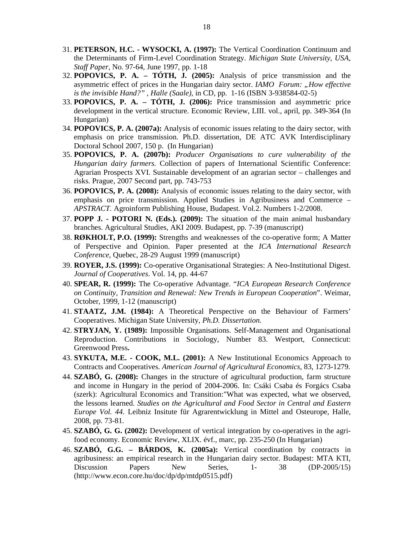- 31. **PETERSON, H.C. WYSOCKI, A. (1997):** The Vertical Coordination Continuum and the Determinants of Firm-Level Coordination Strategy. *Michigan State University, USA, Staff Paper*, No. 97-64, June 1997, pp. 1-18
- 32. **POPOVICS, P. A. TÓTH, J. (2005):** Analysis of price transmission and the asymmetric effect of prices in the Hungarian dairy sector. *IAMO Forum: "How effective is the invisible Hand?" , Halle (Saale)*, in CD, pp. 1-16 (ISBN 3-938584-02-5)
- 33. **POPOVICS, P. A. TÓTH, J. (2006):** Price transmission and asymmetric price development in the vertical structure. Economic Review, LIII. vol., april, pp. 349-364 (In Hungarian)
- 34. **POPOVICS, P. A. (2007a):** Analysis of economic issues relating to the dairy sector, with emphasis on price transmission. Ph.D. dissertation, DE ATC AVK Interdisciplinary Doctoral School 2007, 150 p. (In Hungarian)
- 35. **POPOVICS, P. A. (2007b):** *Producer Organisations to cure vulnerability of the Hungarian dairy farmers.* Collection of papers of International Scientific Conference: Agrarian Prospects XVI. Sustainable development of an agrarian sector – challenges and risks. Prague, 2007 Second part, pp. 743-753
- 36. **POPOVICS, P. A. (2008):** Analysis of economic issues relating to the dairy sector, with emphasis on price transmission. Applied Studies in Agribusiness and Commerce – *APSTRACT*. Agroinform Publishing House, Budapest. Vol.2. Numbers 1-2/2008.
- 37. **POPP J. POTORI N. (Eds.). (2009):** The situation of the main animal husbandary branches. Agricultural Studies, AKI 2009. Budapest, pp. 7-39 (manuscript)
- 38. **RØKHOLT, P.O. (1999):** Strengths and weaknesses of the co-operative form; A Matter of Perspective and Opinion. Paper presented at the *ICA International Research Conference*, Quebec, 28-29 August 1999 (manuscript)
- 39. **ROYER, J.S. (1999):** Co-operative Organisational Strategies: A Neo-Institutional Digest. *Journal of Cooperatives*. Vol. 14, pp. 44-67
- 40. **SPEAR, R. (1999):** The Co-operative Advantage. "*ICA European Research Conference on Continuity, Transition and Renewal: New Trends in European Cooperation*". Weimar, October, 1999, 1-12 (manuscript)
- 41. **STAATZ, J.M. (1984):** A Theoretical Perspective on the Behaviour of Farmers' Cooperatives. Michigan State University, *Ph.D. Dissertation*.
- 42. **STRYJAN, Y. (1989):** Impossible Organisations. Self-Management and Organisational Reproduction. Contributions in Sociology, Number 83. Westport, Connecticut: Greenwood Press**.**
- 43. **SYKUTA, M.E. COOK, M.L. (2001):** A New Institutional Economics Approach to Contracts and Cooperatives. *American Journal of Agricultural Economics*, 83, 1273-1279.
- 44. **SZABÓ, G. (2008):** Changes in the structure of agricultural production, farm structure and income in Hungary in the period of 2004-2006. In: Csáki Csaba és Forgács Csaba (szerk): Agricultural Economics and Transition:"What was expected, what we observed, the lessons learned. *Studies on the Agricultural and Food Sector in Central and Eastern Europe Vol. 44*. Leibniz Insitute für Agrarentwicklung in Mittel and Osteurope, Halle, 2008, pp. 73-81.
- 45. **SZABÓ, G. G. (2002):** Development of vertical integration by co-operatives in the agrifood economy. Economic Review*,* XLIX. évf., marc, pp. 235-250 (In Hungarian)
- 46. **SZABÓ, G.G. BÁRDOS, K. (2005a):** Vertical coordination by contracts in agribusiness: an empirical research in the Hungarian dairy sector. Budapest: MTA KTI, Discussion Papers New Series, 1- 38 (DP-2005/15) (http://www.econ.core.hu/doc/dp/dp/mtdp0515.pdf)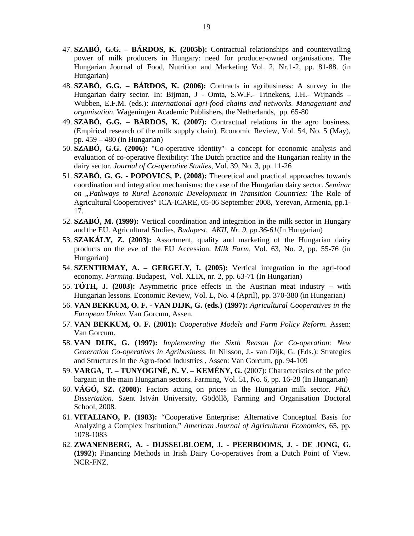- 47. **SZABÓ, G.G. BÁRDOS, K. (2005b):** Contractual relationships and countervailing power of milk producers in Hungary: need for producer-owned organisations. The Hungarian Journal of Food, Nutrition and Marketing Vol. 2, Nr.1-2, pp. 81-88. (in Hungarian)
- 48. **SZABÓ, G.G. BÁRDOS, K. (2006):** Contracts in agribusiness: A survey in the Hungarian dairy sector. In: Bijman, J - Omta, S.W.F.- Trinekens, J.H.- Wijnands – Wubben, E.F.M. (eds.): *International agri-food chains and networks. Managemant and organisation*. Wageningen Academic Publishers, the Netherlands, pp. 65-80
- 49. **SZABÓ, G.G. BÁRDOS, K. (2007):** Contractual relations in the agro business. (Empirical research of the milk supply chain). Economic Review, Vol. 54, No. 5 (May), pp. 459 – 480 (in Hungarian)
- 50. **SZABÓ, G.G. (2006):** "Co-operative identity"- a concept for economic analysis and evaluation of co-operative flexibility: The Dutch practice and the Hungarian reality in the dairy sector. *Journal of Co-operative Studies*, Vol. 39, No. 3, pp. 11-26
- 51. **SZABÓ, G. G. POPOVICS, P. (2008):** Theoretical and practical approaches towards coordination and integration mechanisms: the case of the Hungarian dairy sector. *Seminar on "Pathways to Rural Economic Development in Transition Countries:* The Role of Agricultural Cooperatives" ICA-ICARE, 05-06 September 2008, Yerevan, Armenia, pp.1- 17.
- 52. **SZABÓ, M. (1999):** Vertical coordination and integration in the milk sector in Hungary and the EU. Agricultural Studies*, Budapest, AKII, Nr. 9, pp.36-61*(In Hungarian)
- 53. **SZAKÁLY, Z. (2003):** Assortment, quality and marketing of the Hungarian dairy products on the eve of the EU Accession. *Milk Farm,* Vol. 63, No. 2, pp. 55-76 (in Hungarian)
- 54. **SZENTIRMAY, A. GERGELY, I. (2005):** Vertical integration in the agri-food economy. *Farming.* Budapest, Vol. XLIX, nr. 2, pp. 63-71 (In Hungarian)
- 55. **TÓTH, J. (2003):** Asymmetric price effects in the Austrian meat industry with Hungarian lessons. Economic Review, Vol. L, No. 4 (April), pp. 370-380 (in Hungarian)
- 56. **VAN BEKKUM, O. F. - VAN DIJK, G. (eds.) (1997):** *Agricultural Cooperatives in the European Union*. Van Gorcum, Assen.
- 57. **VAN BEKKUM, O. F. (2001):** *Cooperative Models and Farm Policy Reform*. Assen: Van Gorcum.
- 58. **VAN DIJK, G. (1997):** *Implementing the Sixth Reason for Co-operation: New Generation Co-operatives in Agribusiness.* In Nilsson, J.- van Dijk, G. (Eds.): Strategies and Structures in the Agro-food Industries , Assen: Van Gorcum, pp. 94-109
- 59. **VARGA, T. TUNYOGINÉ, N. V. KEMÉNY, G.** (2007): Characteristics of the price bargain in the main Hungarian sectors. Farming, Vol. 51, No. 6, pp. 16-28 (In Hungarian)
- 60. **VÁGÓ, SZ. (2008):** Factors acting on prices in the Hungarian milk sector. *PhD. Dissertation.* Szent István University, Gödöllı, Farming and Organisation Doctoral School, 2008.
- 61. **VITALIANO, P. (1983):** "Cooperative Enterprise: Alternative Conceptual Basis for Analyzing a Complex Institution," *American Journal of Agricultural Economics*, 65, pp. 1078-1083
- 62. **ZWANENBERG, A. DIJSSELBLOEM, J. PEERBOOMS, J. DE JONG, G. (1992):** Financing Methods in Irish Dairy Co-operatives from a Dutch Point of View. NCR-FNZ.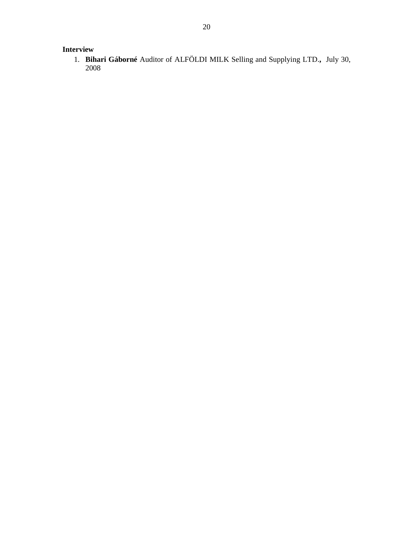# **Interview**

1. **Bihari Gáborné** Auditor of ALFÖLDI MILK Selling and Supplying LTD.**,** July 30, 2008